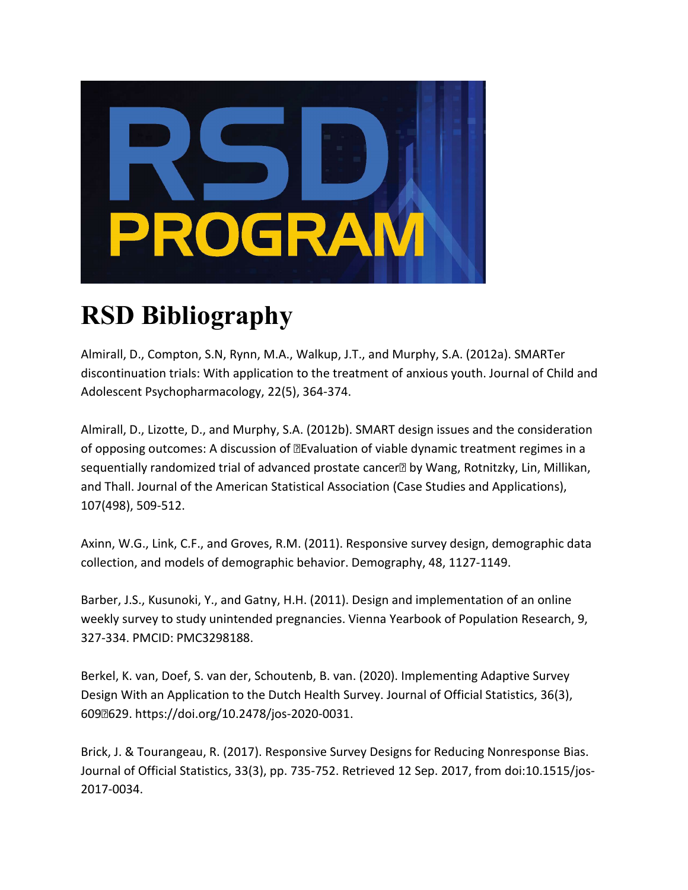

## **RSD Bibliography**

Almirall, D., Compton, S.N, Rynn, M.A., Walkup, J.T., and Murphy, S.A. (2012a). SMARTer discontinuation trials: With application to the treatment of anxious youth. Journal of Child and Adolescent Psychopharmacology, 22(5), 364-374.

Almirall, D., Lizotte, D., and Murphy, S.A. (2012b). SMART design issues and the consideration of opposing outcomes: A discussion of **Elevaluation of viable dynamic treatment regimes in a** sequentially randomized trial of advanced prostate cancer<sup>®</sup> by Wang, Rotnitzky, Lin, Millikan, and Thall. Journal of the American Statistical Association (Case Studies and Applications), 107(498), 509-512.

Axinn, W.G., Link, C.F., and Groves, R.M. (2011). Responsive survey design, demographic data collection, and models of demographic behavior. Demography, 48, 1127-1149.

Barber, J.S., Kusunoki, Y., and Gatny, H.H. (2011). Design and implementation of an online weekly survey to study unintended pregnancies. Vienna Yearbook of Population Research, 9, 327-334. PMCID: PMC3298188.

Berkel, K. van, Doef, S. van der, Schoutenb, B. van. (2020). Implementing Adaptive Survey Design With an Application to the Dutch Health Survey. Journal of Official Statistics, 36(3), 609629. https://doi.org/10.2478/jos-2020-0031.

Brick, J. & Tourangeau, R. (2017). Responsive Survey Designs for Reducing Nonresponse Bias. Journal of Official Statistics, 33(3), pp. 735-752. Retrieved 12 Sep. 2017, from doi:10.1515/jos-2017-0034.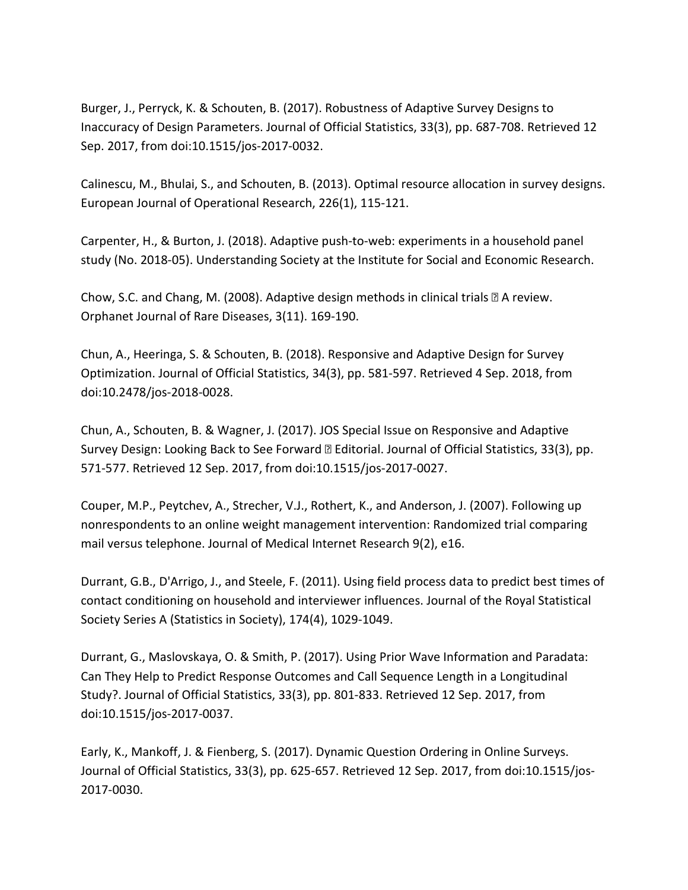Burger, J., Perryck, K. & Schouten, B. (2017). Robustness of Adaptive Survey Designs to Inaccuracy of Design Parameters. Journal of Official Statistics, 33(3), pp. 687-708. Retrieved 12 Sep. 2017, from doi:10.1515/jos-2017-0032.

Calinescu, M., Bhulai, S., and Schouten, B. (2013). Optimal resource allocation in survey designs. European Journal of Operational Research, 226(1), 115-121.

Carpenter, H., & Burton, J. (2018). Adaptive push-to-web: experiments in a household panel study (No. 2018-05). Understanding Society at the Institute for Social and Economic Research.

Chow, S.C. and Chang, M. (2008). Adaptive design methods in clinical trials  $\mathbb B$  A review. Orphanet Journal of Rare Diseases, 3(11). 169-190.

Chun, A., Heeringa, S. & Schouten, B. (2018). Responsive and Adaptive Design for Survey Optimization. Journal of Official Statistics, 34(3), pp. 581-597. Retrieved 4 Sep. 2018, from doi:10.2478/jos-2018-0028.

Chun, A., Schouten, B. & Wagner, J. (2017). JOS Special Issue on Responsive and Adaptive Survey Design: Looking Back to See Forward **D** Editorial. Journal of Official Statistics, 33(3), pp. 571-577. Retrieved 12 Sep. 2017, from doi:10.1515/jos-2017-0027.

Couper, M.P., Peytchev, A., Strecher, V.J., Rothert, K., and Anderson, J. (2007). Following up nonrespondents to an online weight management intervention: Randomized trial comparing mail versus telephone. Journal of Medical Internet Research 9(2), e16.

Durrant, G.B., D'Arrigo, J., and Steele, F. (2011). Using field process data to predict best times of contact conditioning on household and interviewer influences. Journal of the Royal Statistical Society Series A (Statistics in Society), 174(4), 1029-1049.

Durrant, G., Maslovskaya, O. & Smith, P. (2017). Using Prior Wave Information and Paradata: Can They Help to Predict Response Outcomes and Call Sequence Length in a Longitudinal Study?. Journal of Official Statistics, 33(3), pp. 801-833. Retrieved 12 Sep. 2017, from doi:10.1515/jos-2017-0037.

Early, K., Mankoff, J. & Fienberg, S. (2017). Dynamic Question Ordering in Online Surveys. Journal of Official Statistics, 33(3), pp. 625-657. Retrieved 12 Sep. 2017, from doi:10.1515/jos-2017-0030.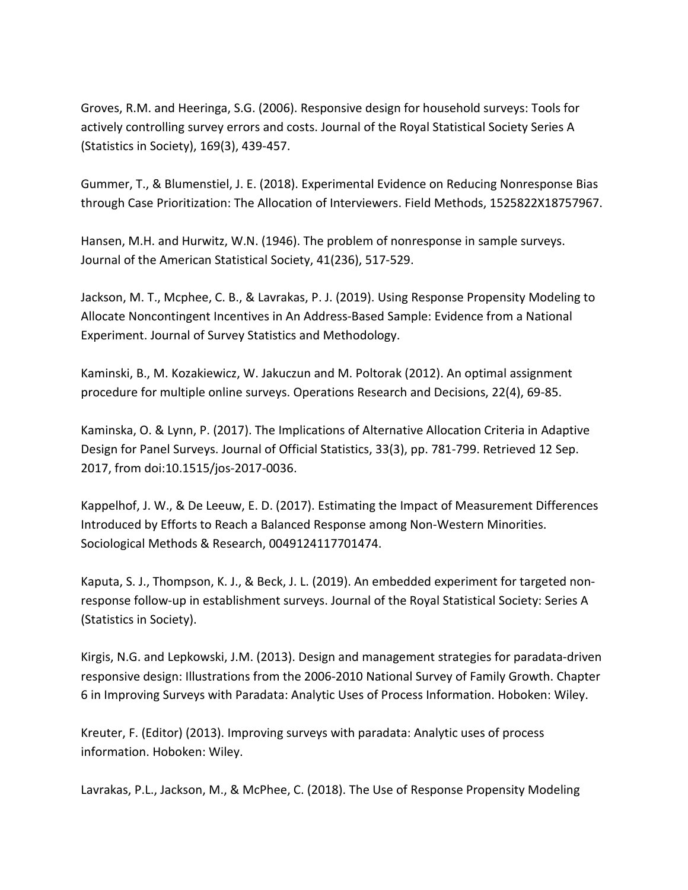Groves, R.M. and Heeringa, S.G. (2006). Responsive design for household surveys: Tools for actively controlling survey errors and costs. Journal of the Royal Statistical Society Series A (Statistics in Society), 169(3), 439-457.

Gummer, T., & Blumenstiel, J. E. (2018). Experimental Evidence on Reducing Nonresponse Bias through Case Prioritization: The Allocation of Interviewers. Field Methods, 1525822X18757967.

Hansen, M.H. and Hurwitz, W.N. (1946). The problem of nonresponse in sample surveys. Journal of the American Statistical Society, 41(236), 517-529.

Jackson, M. T., Mcphee, C. B., & Lavrakas, P. J. (2019). Using Response Propensity Modeling to Allocate Noncontingent Incentives in An Address-Based Sample: Evidence from a National Experiment. Journal of Survey Statistics and Methodology.

Kaminski, B., M. Kozakiewicz, W. Jakuczun and M. Poltorak (2012). An optimal assignment procedure for multiple online surveys. Operations Research and Decisions, 22(4), 69-85.

Kaminska, O. & Lynn, P. (2017). The Implications of Alternative Allocation Criteria in Adaptive Design for Panel Surveys. Journal of Official Statistics, 33(3), pp. 781-799. Retrieved 12 Sep. 2017, from doi:10.1515/jos-2017-0036.

Kappelhof, J. W., & De Leeuw, E. D. (2017). Estimating the Impact of Measurement Differences Introduced by Efforts to Reach a Balanced Response among Non-Western Minorities. Sociological Methods & Research, 0049124117701474.

Kaputa, S. J., Thompson, K. J., & Beck, J. L. (2019). An embedded experiment for targeted nonresponse follow-up in establishment surveys. Journal of the Royal Statistical Society: Series A (Statistics in Society).

Kirgis, N.G. and Lepkowski, J.M. (2013). Design and management strategies for paradata-driven responsive design: Illustrations from the 2006-2010 National Survey of Family Growth. Chapter 6 in Improving Surveys with Paradata: Analytic Uses of Process Information. Hoboken: Wiley.

Kreuter, F. (Editor) (2013). Improving surveys with paradata: Analytic uses of process information. Hoboken: Wiley.

Lavrakas, P.L., Jackson, M., & McPhee, C. (2018). The Use of Response Propensity Modeling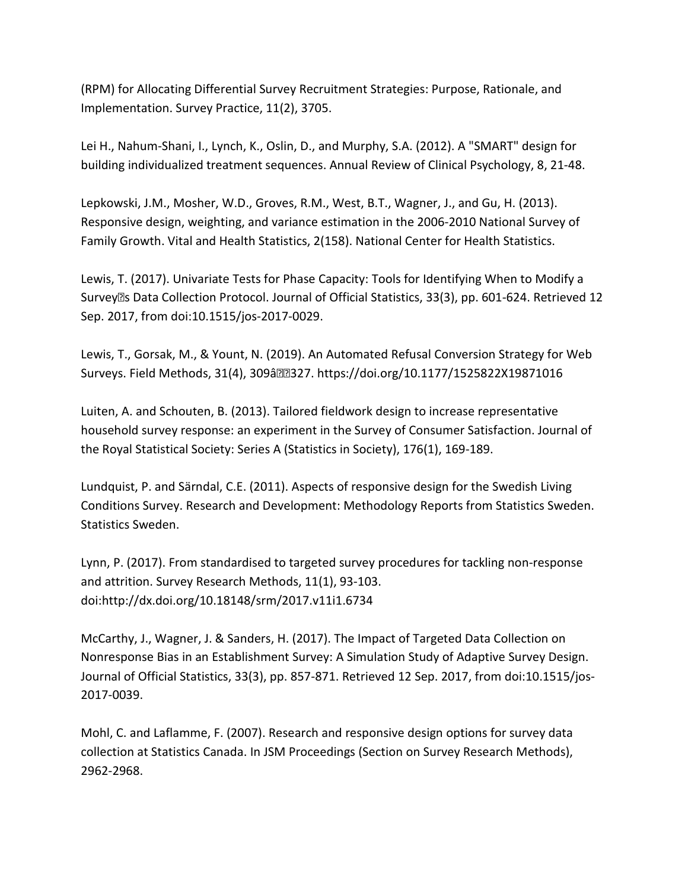(RPM) for Allocating Differential Survey Recruitment Strategies: Purpose, Rationale, and Implementation. Survey Practice, 11(2), 3705.

Lei H., Nahum-Shani, I., Lynch, K., Oslin, D., and Murphy, S.A. (2012). A "SMART" design for building individualized treatment sequences. Annual Review of Clinical Psychology, 8, 21-48.

Lepkowski, J.M., Mosher, W.D., Groves, R.M., West, B.T., Wagner, J., and Gu, H. (2013). Responsive design, weighting, and variance estimation in the 2006-2010 National Survey of Family Growth. Vital and Health Statistics, 2(158). National Center for Health Statistics.

Lewis, T. (2017). Univariate Tests for Phase Capacity: Tools for Identifying When to Modify a Survey<sup>®</sup>s Data Collection Protocol. Journal of Official Statistics, 33(3), pp. 601-624. Retrieved 12 Sep. 2017, from doi:10.1515/jos-2017-0029.

Lewis, T., Gorsak, M., & Yount, N. (2019). An Automated Refusal Conversion Strategy for Web Surveys. Field Methods, 31(4), 309â 327. https://doi.org/10.1177/1525822X19871016

Luiten, A. and Schouten, B. (2013). Tailored fieldwork design to increase representative household survey response: an experiment in the Survey of Consumer Satisfaction. Journal of the Royal Statistical Society: Series A (Statistics in Society), 176(1), 169-189.

Lundquist, P. and Särndal, C.E. (2011). Aspects of responsive design for the Swedish Living Conditions Survey. Research and Development: Methodology Reports from Statistics Sweden. Statistics Sweden.

Lynn, P. (2017). From standardised to targeted survey procedures for tackling non-response and attrition. Survey Research Methods, 11(1), 93-103. doi:http://dx.doi.org/10.18148/srm/2017.v11i1.6734

McCarthy, J., Wagner, J. & Sanders, H. (2017). The Impact of Targeted Data Collection on Nonresponse Bias in an Establishment Survey: A Simulation Study of Adaptive Survey Design. Journal of Official Statistics, 33(3), pp. 857-871. Retrieved 12 Sep. 2017, from doi:10.1515/jos-2017-0039.

Mohl, C. and Laflamme, F. (2007). Research and responsive design options for survey data collection at Statistics Canada. In JSM Proceedings (Section on Survey Research Methods), 2962-2968.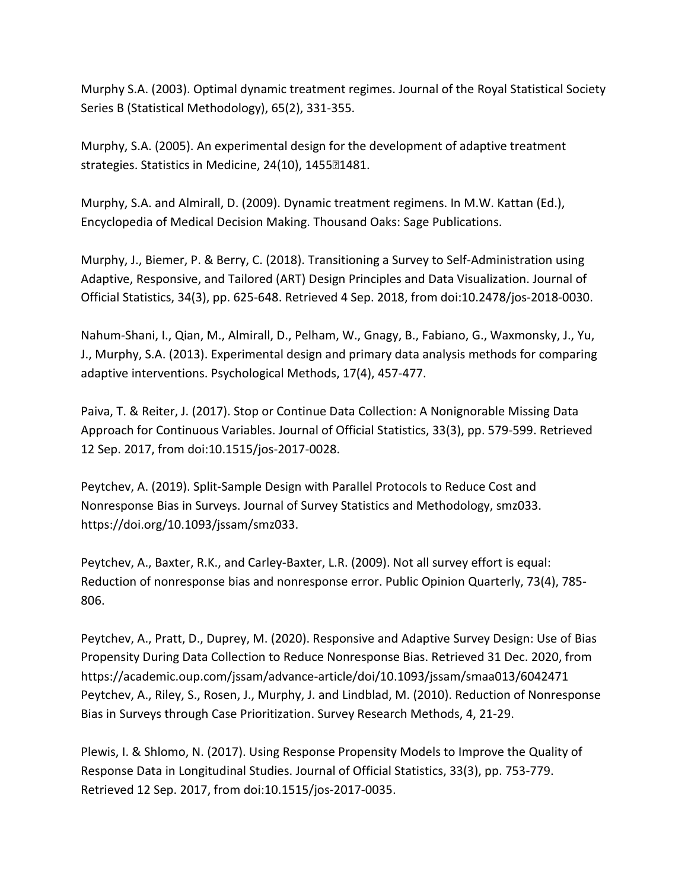Murphy S.A. (2003). Optimal dynamic treatment regimes. Journal of the Royal Statistical Society Series B (Statistical Methodology), 65(2), 331-355.

Murphy, S.A. (2005). An experimental design for the development of adaptive treatment strategies. Statistics in Medicine, 24(10), 145521481.

Murphy, S.A. and Almirall, D. (2009). Dynamic treatment regimens. In M.W. Kattan (Ed.), Encyclopedia of Medical Decision Making. Thousand Oaks: Sage Publications.

Murphy, J., Biemer, P. & Berry, C. (2018). Transitioning a Survey to Self-Administration using Adaptive, Responsive, and Tailored (ART) Design Principles and Data Visualization. Journal of Official Statistics, 34(3), pp. 625-648. Retrieved 4 Sep. 2018, from doi:10.2478/jos-2018-0030.

Nahum-Shani, I., Qian, M., Almirall, D., Pelham, W., Gnagy, B., Fabiano, G., Waxmonsky, J., Yu, J., Murphy, S.A. (2013). Experimental design and primary data analysis methods for comparing adaptive interventions. Psychological Methods, 17(4), 457-477.

Paiva, T. & Reiter, J. (2017). Stop or Continue Data Collection: A Nonignorable Missing Data Approach for Continuous Variables. Journal of Official Statistics, 33(3), pp. 579-599. Retrieved 12 Sep. 2017, from doi:10.1515/jos-2017-0028.

Peytchev, A. (2019). Split-Sample Design with Parallel Protocols to Reduce Cost and Nonresponse Bias in Surveys. Journal of Survey Statistics and Methodology, smz033. https://doi.org/10.1093/jssam/smz033.

Peytchev, A., Baxter, R.K., and Carley-Baxter, L.R. (2009). Not all survey effort is equal: Reduction of nonresponse bias and nonresponse error. Public Opinion Quarterly, 73(4), 785- 806.

Peytchev, A., Pratt, D., Duprey, M. (2020). Responsive and Adaptive Survey Design: Use of Bias Propensity During Data Collection to Reduce Nonresponse Bias. Retrieved 31 Dec. 2020, from https://academic.oup.com/jssam/advance-article/doi/10.1093/jssam/smaa013/6042471 Peytchev, A., Riley, S., Rosen, J., Murphy, J. and Lindblad, M. (2010). Reduction of Nonresponse Bias in Surveys through Case Prioritization. Survey Research Methods, 4, 21-29.

Plewis, I. & Shlomo, N. (2017). Using Response Propensity Models to Improve the Quality of Response Data in Longitudinal Studies. Journal of Official Statistics, 33(3), pp. 753-779. Retrieved 12 Sep. 2017, from doi:10.1515/jos-2017-0035.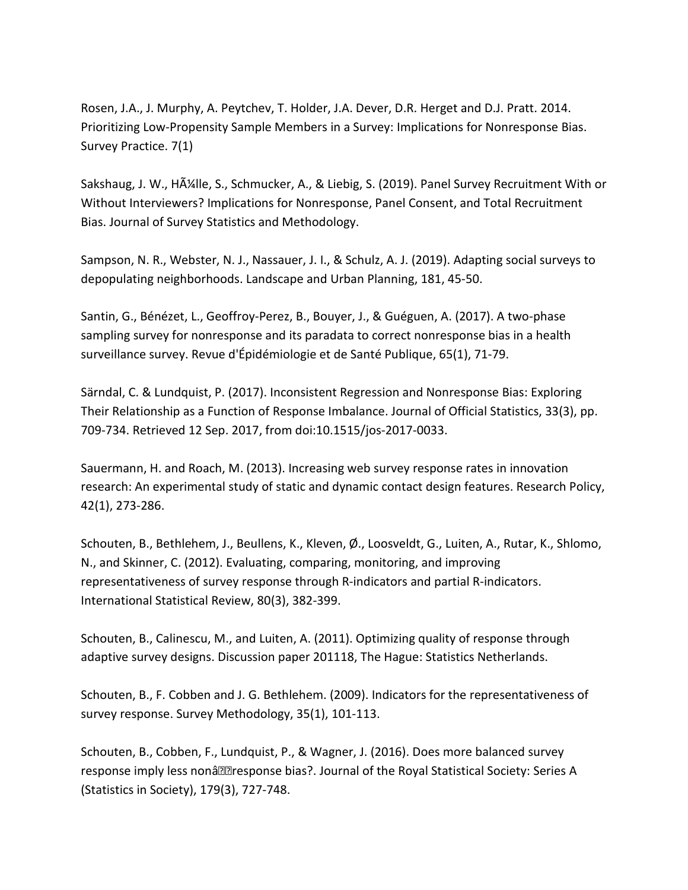Rosen, J.A., J. Murphy, A. Peytchev, T. Holder, J.A. Dever, D.R. Herget and D.J. Pratt. 2014. Prioritizing Low-Propensity Sample Members in a Survey: Implications for Nonresponse Bias. Survey Practice. 7(1)

Sakshaug, J. W., HAIIle, S., Schmucker, A., & Liebig, S. (2019). Panel Survey Recruitment With or Without Interviewers? Implications for Nonresponse, Panel Consent, and Total Recruitment Bias. Journal of Survey Statistics and Methodology.

Sampson, N. R., Webster, N. J., Nassauer, J. I., & Schulz, A. J. (2019). Adapting social surveys to depopulating neighborhoods. Landscape and Urban Planning, 181, 45-50.

Santin, G., Bénézet, L., Geoffroy-Perez, B., Bouyer, J., & Guéguen, A. (2017). A two-phase sampling survey for nonresponse and its paradata to correct nonresponse bias in a health surveillance survey. Revue d'Épidémiologie et de Santé Publique, 65(1), 71-79.

Särndal, C. & Lundquist, P. (2017). Inconsistent Regression and Nonresponse Bias: Exploring Their Relationship as a Function of Response Imbalance. Journal of Official Statistics, 33(3), pp. 709-734. Retrieved 12 Sep. 2017, from doi:10.1515/jos-2017-0033.

Sauermann, H. and Roach, M. (2013). Increasing web survey response rates in innovation research: An experimental study of static and dynamic contact design features. Research Policy, 42(1), 273-286.

Schouten, B., Bethlehem, J., Beullens, K., Kleven, Ø., Loosveldt, G., Luiten, A., Rutar, K., Shlomo, N., and Skinner, C. (2012). Evaluating, comparing, monitoring, and improving representativeness of survey response through R-indicators and partial R-indicators. International Statistical Review, 80(3), 382-399.

Schouten, B., Calinescu, M., and Luiten, A. (2011). Optimizing quality of response through adaptive survey designs. Discussion paper 201118, The Hague: Statistics Netherlands.

Schouten, B., F. Cobben and J. G. Bethlehem. (2009). Indicators for the representativeness of survey response. Survey Methodology, 35(1), 101-113.

Schouten, B., Cobben, F., Lundquist, P., & Wagner, J. (2016). Does more balanced survey response imply less nonâ let response bias?. Journal of the Royal Statistical Society: Series A (Statistics in Society), 179(3), 727-748.